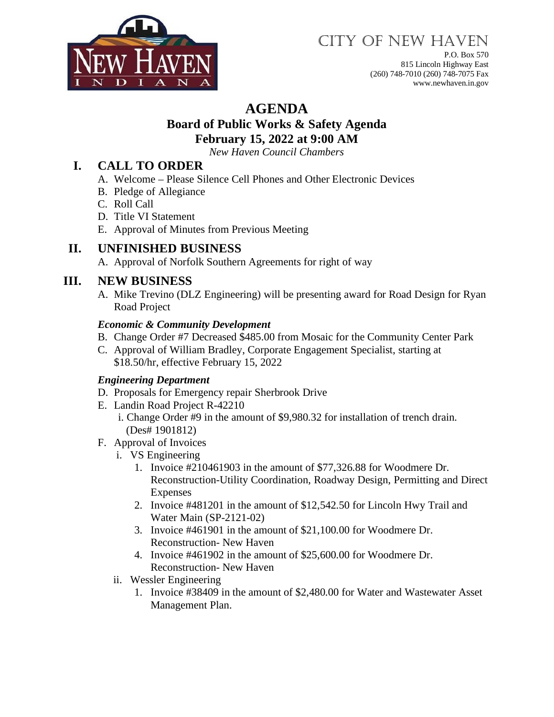

# CITY OF NEW HAVEN

P.O. Box 570 815 Lincoln Highway East (260) 748-7010 (260) 748-7075 Fax www.newhaven.in.gov

## **AGENDA**

#### **Board of Public Works & Safety Agenda February 15, 2022 at 9:00 AM**

*New Haven Council Chambers*

### **I. CALL TO ORDER**

- A. Welcome Please Silence Cell Phones and Other Electronic Devices
- B. Pledge of Allegiance
- C. Roll Call
- D. Title VI Statement
- E. Approval of Minutes from Previous Meeting

## **II. UNFINISHED BUSINESS**

A. Approval of Norfolk Southern Agreements for right of way

## **III. NEW BUSINESS**

A. Mike Trevino (DLZ Engineering) will be presenting award for Road Design for Ryan Road Project

#### *Economic & Community Development*

- B. Change Order #7 Decreased \$485.00 from Mosaic for the Community Center Park
- C. Approval of William Bradley, Corporate Engagement Specialist, starting at \$18.50/hr, effective February 15, 2022

#### *Engineering Department*

- D. Proposals for Emergency repair Sherbrook Drive
- E. Landin Road Project R-42210
	- i. Change Order #9 in the amount of \$9,980.32 for installation of trench drain. (Des# 1901812)
- F. Approval of Invoices
	- i. VS Engineering
		- 1. Invoice #210461903 in the amount of \$77,326.88 for Woodmere Dr. Reconstruction-Utility Coordination, Roadway Design, Permitting and Direct Expenses
		- 2. Invoice #481201 in the amount of \$12,542.50 for Lincoln Hwy Trail and Water Main (SP-2121-02)
		- 3. Invoice #461901 in the amount of \$21,100.00 for Woodmere Dr. Reconstruction- New Haven
		- 4. Invoice #461902 in the amount of \$25,600.00 for Woodmere Dr. Reconstruction- New Haven
	- ii. Wessler Engineering
		- 1. Invoice #38409 in the amount of \$2,480.00 for Water and Wastewater Asset Management Plan.